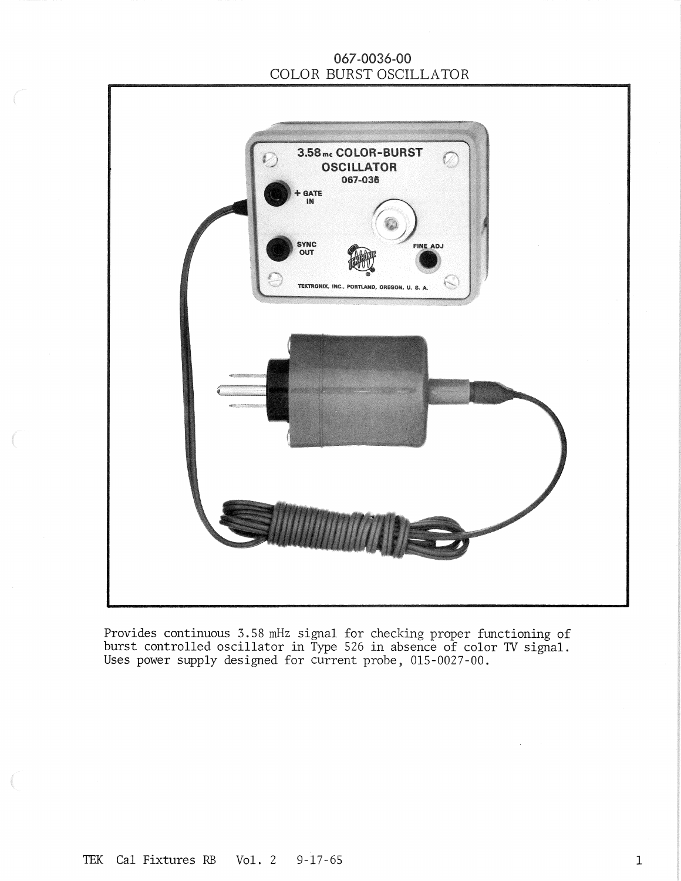## 067 -0036-00 COLOR BURST OSCILLATOR



Provides continuous 3.58 mHz signal for checking proper functioning of burst controlled oscillator in Type 526 in absence of color TV signal. Uses power supply designed for current probe, 015-0027-00.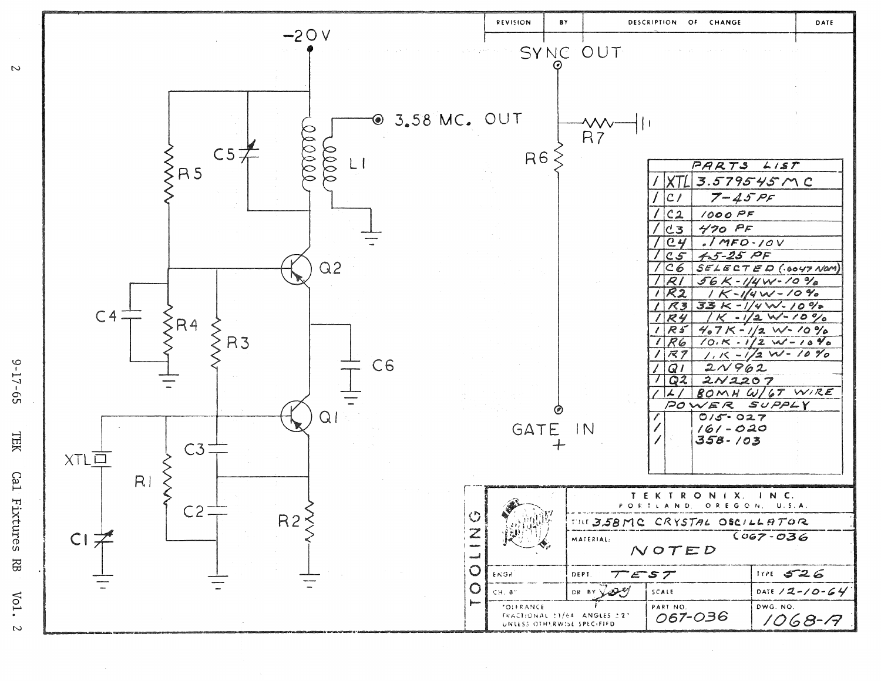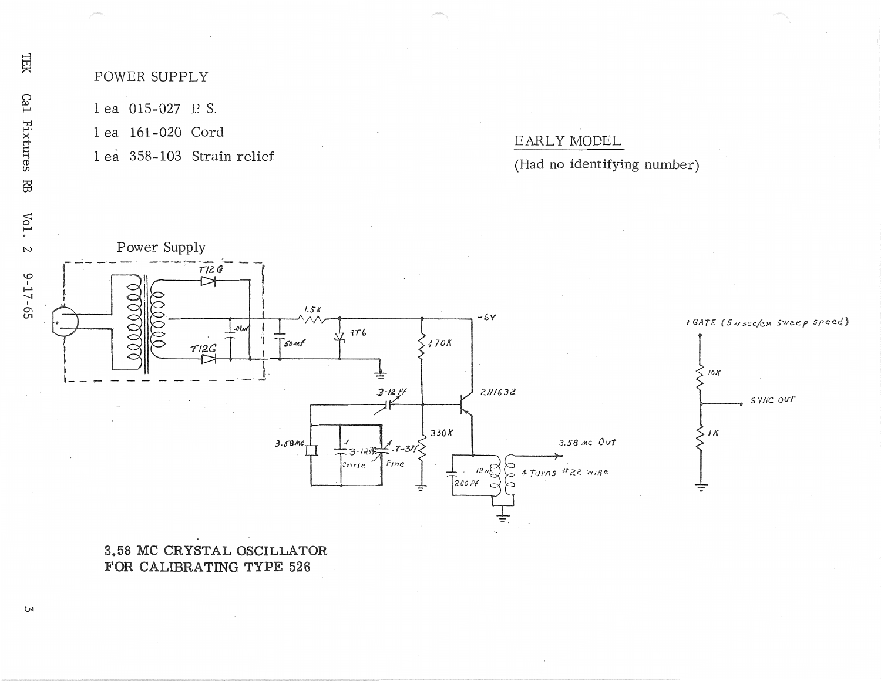POWER SUPPLY

1 ea 015-027 P.S.

1 ea 161-020 Cord

1 ea 358-103 Strain relief

# EARLY MODEL

(Had no identifying number)

![](_page_2_Figure_7.jpeg)

3.58 MC CRYSTAL OSCILLATOR FOR CALIBRATING TYPE 526

 $\mathcal{L}$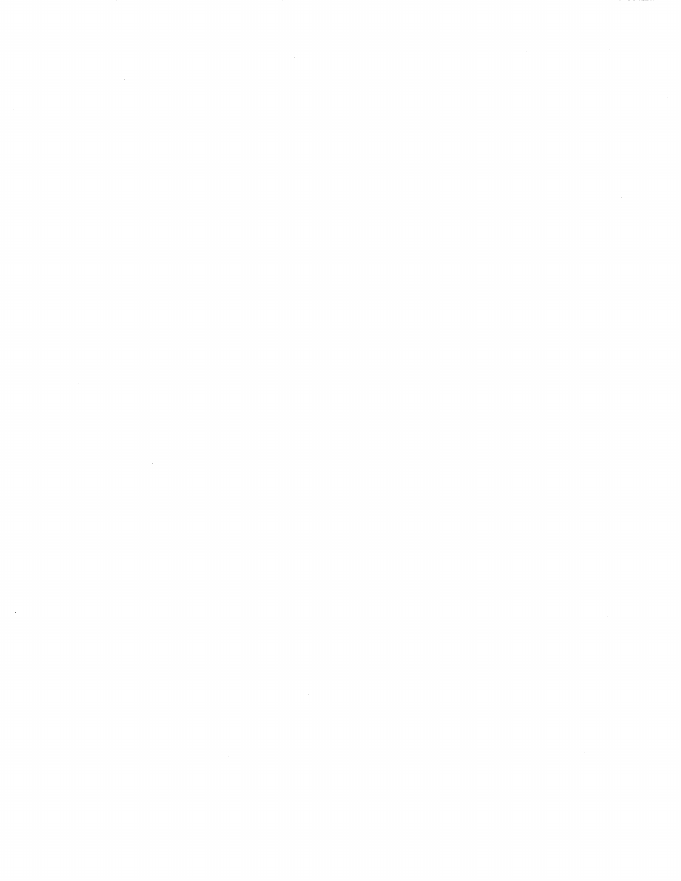$\hat{\mathcal{L}}$  $\label{eq:2.1} \frac{d}{dt} \left( \frac{d}{dt} \right) = \frac{d}{dt} \left( \frac{d}{dt} \right) = \frac{d}{dt} \left( \frac{d}{dt} \right) = \frac{d}{dt} \left( \frac{d}{dt} \right) = \frac{d}{dt} \left( \frac{d}{dt} \right) = \frac{d}{dt} \left( \frac{d}{dt} \right) = \frac{d}{dt} \left( \frac{d}{dt} \right) = \frac{d}{dt} \left( \frac{d}{dt} \right) = \frac{d}{dt} \left( \frac{d}{dt} \right) = \frac{d}{dt} \left( \frac{d}{dt} \right) = \$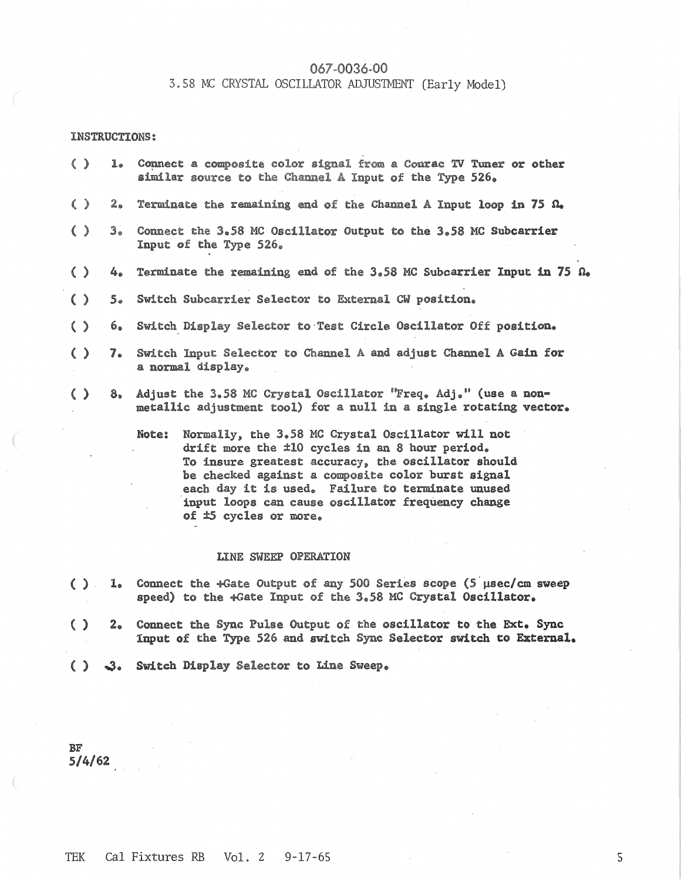#### 067-0036-00

3.58 MC CRYSTAL OSCILLATOR ADJUSTMENT (Early Model)

#### **INSTRUCTIONS:**

- $( )$ Connect a composite color signal from a Conrac TV Tuner or other  $1<sub>o</sub>$ similar source to the Channel A Input of the Type 526.
- $( )$ 2. Terminate the remaining end of the Channel A Input loop in 75  $\Omega$ .
- $\left( \right)$ 3. Connect the 3.58 MC Oscillator Output to the 3.58 MC Subcarrier Input of the Type 526.
- $( )$ Terminate the remaining end of the 3.58 MC Subcarrier Input in 75  $\Omega$ .  $4.$
- $( )$ 5. Switch Subcarrier Selector to External CW position.
- $( )$ 6. Switch Display Selector to Test Circle Oscillator Off position.
- $( )$ 7. Switch Input Selector to Channel A and adjust Channel A Gain for a normal display.
- 8. Adjust the 3.58 MC Crystal Oscillator "Freq. Adj." (use a non- $\left( \right)$ metallic adjustment tool) for a null in a single rotating vector.
	- Normally, the 3.58 MC Crystal Oscillator will not Note: drift more the ±10 cycles in an 8 hour period. To insure greatest accuracy, the oscillator should be checked against a composite color burst signal each day it is used. Failure to terminate unused input loops can cause oscillator frequency change of ±5 cycles or more.

#### LINE SWEEP OPERATION

- 1. Connect the +Gate Output of any 500 Series scope (5 µsec/cm sweep  $\left( \quad \right)$ speed) to the +Gate Input of the 3.58 MC Crystal Oscillator.
- 2. Connect the Sync Pulse Output of the oscillator to the Ext. Sync  $\left( \right)$ Input of the Type 526 and switch Sync Selector switch to External.
- () 3. Switch Display Selector to Line Sweep.

 $RF$  $5/4/62$ 

5